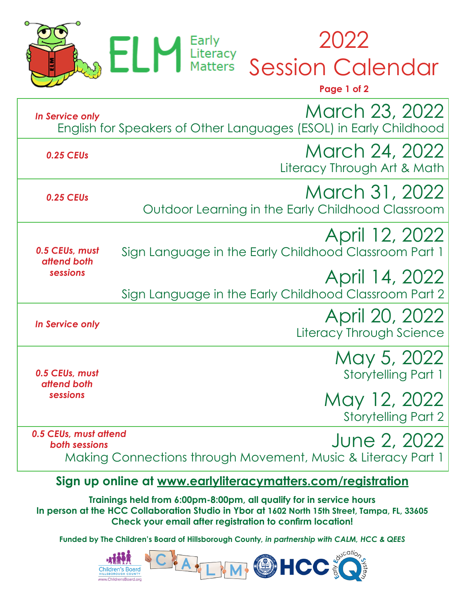

2022 Session Calendar

|                                           | Page 1 of 2                                                                         |
|-------------------------------------------|-------------------------------------------------------------------------------------|
| In Service only                           | March 23, 2022<br>English for Speakers of Other Languages (ESOL) in Early Childhood |
| 0.25 CEUs                                 | March 24, 2022<br>Literacy Through Art & Math                                       |
| 0.25 CEUs                                 | March 31, 2022<br>Outdoor Learning in the Early Childhood Classroom                 |
| 0.5 CEUs, must<br>attend both<br>sessions | April 12, 2022<br>Sign Language in the Early Childhood Classroom Part 1             |
|                                           | April 14, 2022<br>Sign Language in the Early Childhood Classroom Part 2             |
| <b>In Service only</b>                    | April 20, 2022<br>Literacy Through Science                                          |
| 0.5 CEUs, must<br>attend both<br>sessions | May 5, 2022<br><b>Storytelling Part 1</b>                                           |
|                                           | May 12, 2022<br><b>Storytelling Part 2</b>                                          |
| 0.5 CEUs, must attend<br>both sessions    | June 2, 2022<br>Making Connections through Movement, Music & Literacy Part 1        |
|                                           |                                                                                     |

**Sign up online at www.earlyliteracymatters.com/registration Trainings held from 6:00pm-8:00pm, all qualify for in service hours**

**In person at the HCC Collaboration Studio in Ybor at 1602 North 15th Street, Tampa, FL, 33605 Check your email after registration to confirm location!**

**Funded by The Children's Board of Hillsborough County***, in partnership with CALM, HCC & QEES*